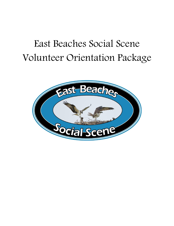# East Beaches Social Scene Volunteer Orientation Package

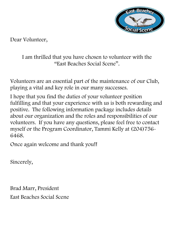

Dear Volunteer,

## I am thrilled that you have chosen to volunteer with the "East Beaches Social Scene".

Volunteers are an essential part of the maintenance of our Club, playing a vital and key role in our many successes.

I hope that you find the duties of your volunteer position fulfilling and that your experience with us is both rewarding and positive. The following information package includes details about our organization and the roles and responsibilities of our volunteers. If you have any questions, please feel free to contact myself or the Program Coordinator, Tammi Kelly at (204)756- 6468.

Once again welcome and thank you!!

Sincerely,

Brad Marr, President East Beaches Social Scene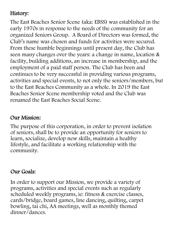# History:

The East Beaches Senior Scene (aka: EBSS) was established in the early 1970s in response to the needs of the community for an organized Seniors Group. A Board of Directors was formed, the Club's name was chosen and funds for activities were secured. From these humble beginnings until present day, the Club has seen many changes over the years: a change in name, location & facility, building additions, an increase in membership, and the employment of a paid staff person. The Club has been and continues to be very successful in providing various programs, activities and special events, to not only the seniors/members, but to the East Beaches Community as a whole. In 2019 the East Beaches Senior Scene membership voted and the Club was renamed the East Beaches Social Scene.

#### Our Mission:

The purpose of this corporation, in order to prevent isolation of seniors, shall be to provide an opportunity for seniors to learn, socialize, develop new skills, maintain a healthy lifestyle, and facilitate a working relationship with the community.

#### Our Goals:

In order to support our Mission, we provide a variety of programs, activities and special events such as regularly scheduled weekly programs, ie: fitness & exercise classes, cards/bridge, board games, line dancing, quilting, carpet bowling, tai chi, AA meetings, well as monthly themed dinner/dances.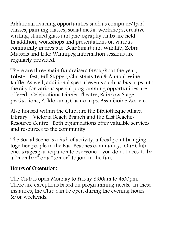Additional learning opportunities such as computer/Ipad classes, painting classes, social media workshops, creative writing, stained glass and photography clubs are held. In addition, workshops and presentations on various community interests ie: Bear Smart and Wildlife, Zebra Mussels and Lake Winnipeg information sessions are regularly provided.

There are three main fundraisers throughout the year, Lobster-fest, Fall Supper, Christmas Tea & Annual Wine Raffle. As well, additional special events such as bus trips into the city for various special programming opportunities are offered: Celebrations Dinner Theatre, Rainbow Stage productions, Folklorama, Casino trips, Assiniboine Zoo etc.

Also housed within the Club, are the Bibliotheque Allard Library – Victoria Beach Branch and the East Beaches Resource Centre. Both organizations offer valuable services and resources to the community.

The Social Scene is a hub of activity, a focal point bringing together people in the East Beaches community. Our Club encourages participation to everyone – you do not need to be a "member" or a "senior" to join in the fun.

#### Hours of Operation:

The Club is open Monday to Friday 8:00am to 4:00pm. There are exceptions based on programming needs. In these instances, the Club can be open during the evening hours &/or weekends.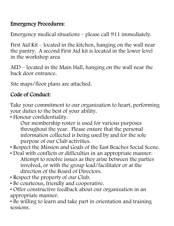## Emergency Procedures:

Emergency medical situations – please call 911 immediately.

First Aid Kit – located in the kitchen, hanging on the wall near the pantry. A second First Aid kit is located in the lower level in the workshop area

AED – located in the Main Hall, hanging on the wall near the back door entrance.

Site maps/floor plans are attached.

# Code of Conduct:

Take your commitment to our organization to heart, performing your duties to the best of your ability.

• Honour confidentiality.

Our membership roster is used for various purposes throughout the year. Please ensure that the personal information collected is being used by and for the sole purpose of our Club activities.

• Respect the Mission and Goals of the East Beaches Social Scene.

- Deal with conflicts or difficulties in an appropriate manner. Attempt to resolve issues as they arise between the parties involved, or with the group lead/facilitator or at the direction of the Board of Directors.
- Respect the property of our Club.
- Be courteous, friendly and cooperative.
- Offer constructive feedback about our organization in an appropriate manner.

• Be willing to learn and take part in orientation and training sessions.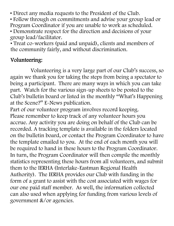• Direct any media requests to the President of the Club.

• Follow through on commitments and advise your group lead or Program Coordinator if you are unable to work as scheduled.

• Demonstrate respect for the direction and decisions of your group lead/facilitator.

• Treat co-workers (paid and unpaid), clients and members of the community fairly, and without discrimination.

### Volunteering:

Volunteering is a very large part of our Club's success, so again we thank you for taking the steps from being a spectator to being a participant. There are many ways in which you can take part. Watch for the various sign-up sheets to be posted to the Club's bulletin board or listed in the monthly "What's Happening at the Scene?" E-News publication.

Part of our volunteer program involves record keeping. Please remember to keep track of any volunteer hours you accrue. Any activity you are doing on behalf of the Club can be recorded. A tracking template is available in the folders located on the bulletin board, or contact the Program Coordinator to have the template emailed to you. At the end of each month you will be required to hand in these hours to the Program Coordinator. In turn, the Program Coordinator will then compile the monthly statistics representing these hours from all volunteers, and submit them to the IERHA (Interlake-Eastman Regional Health Authority). The IERHA provides our Club with funding in the form of a grant to assist with the cost associated with wages for our one paid staff member. As well, the information collected can also used when applying for funding from various levels of government &/or agencies.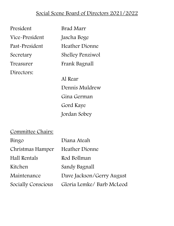### Social Scene Board of Directors 2021/2022

| President      | Brad Marr               |
|----------------|-------------------------|
| Vice-President | Jascha Boge             |
| Past-President | Heather Dionne          |
| Secretary      | <b>Shelley Penziwol</b> |
| Treasurer      | Frank Bagnall           |
| Directors:     |                         |
|                | Al Rear                 |
|                | Dennis Muldrew          |
|                | Gina German             |
|                | Gord Kaye               |
|                | Jordan Sobey            |
|                |                         |

### Committee Chairs:

| Bingo              | Diana Ateah               |
|--------------------|---------------------------|
| Christmas Hamper   | <b>Heather Dionne</b>     |
| Hall Rentals       | Rod Bollman               |
| Kitchen            | Sandy Bagnall             |
| Maintenance        | Dave Jackson/Gerry August |
| Socially Conscious | Gloria Lemke/ Barb McLeod |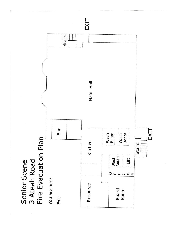